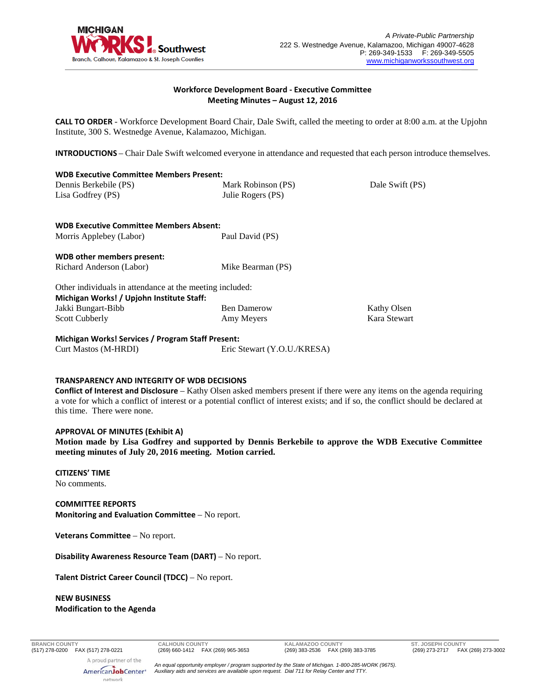

## **Workforce Development Board - Executive Committee Meeting Minutes – August 12, 2016**

**CALL TO ORDER** - Workforce Development Board Chair, Dale Swift, called the meeting to order at 8:00 a.m. at the Upjohn Institute, 300 S. Westnedge Avenue, Kalamazoo, Michigan.

**INTRODUCTIONS** – Chair Dale Swift welcomed everyone in attendance and requested that each person introduce themselves.

| <b>WDB Executive Committee Members Present:</b>          |                             |                 |
|----------------------------------------------------------|-----------------------------|-----------------|
| Dennis Berkebile (PS)                                    | Mark Robinson (PS)          | Dale Swift (PS) |
| Lisa Godfrey (PS)                                        | Julie Rogers (PS)           |                 |
| <b>WDB Executive Committee Members Absent:</b>           |                             |                 |
| Morris Applebey (Labor)                                  | Paul David (PS)             |                 |
| WDB other members present:                               |                             |                 |
| Richard Anderson (Labor)                                 | Mike Bearman (PS)           |                 |
| Other individuals in attendance at the meeting included: |                             |                 |
| Michigan Works! / Upjohn Institute Staff:                |                             |                 |
| Jakki Bungart-Bibb                                       | <b>Ben Damerow</b>          | Kathy Olsen     |
| <b>Scott Cubberly</b>                                    | Amy Meyers                  | Kara Stewart    |
| Michigan Works! Services / Program Staff Present:        |                             |                 |
| Curt Mastos (M-HRDI)                                     | Eric Stewart (Y.O.U./KRESA) |                 |
|                                                          |                             |                 |

## **TRANSPARENCY AND INTEGRITY OF WDB DECISIONS**

**Conflict of Interest and Disclosure** – Kathy Olsen asked members present if there were any items on the agenda requiring a vote for which a conflict of interest or a potential conflict of interest exists; and if so, the conflict should be declared at this time. There were none.

## **APPROVAL OF MINUTES (Exhibit A)**

**Motion made by Lisa Godfrey and supported by Dennis Berkebile to approve the WDB Executive Committee meeting minutes of July 20, 2016 meeting. Motion carried.**

# **CITIZENS' TIME**

No comments.

**COMMITTEE REPORTS Monitoring and Evaluation Committee** – No report.

**Veterans Committee** – No report.

**Disability Awareness Resource Team (DART)** – No report.

**Talent District Career Council (TDCC)** – No report.

**NEW BUSINESS Modification to the Agenda**

(517) 278-0200 FAX (517) 278-0221 (269) 660-1412 FAX (269) 965-3653 (269) 383-2536 FAX (269) 383-3785 (269) 273-2717 FAX (269) 273-3002

**BRANCH COUNTY CALHOUN COUNTY KALAMAZOO COUNTY ST. JOSEPH COUNTY**

A proud partner of the AmericanJobCenter\* network

*An equal opportunity employer / program supported by the State of Michigan. 1-800-285-WORK (9675). Auxiliary aids and services are available upon request. Dial 711 for Relay Center and TTY.*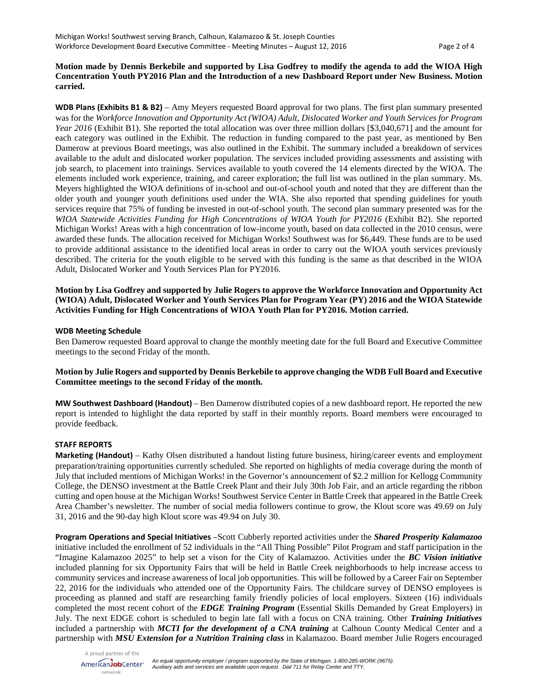## **Motion made by Dennis Berkebile and supported by Lisa Godfrey to modify the agenda to add the WIOA High Concentration Youth PY2016 Plan and the Introduction of a new Dashboard Report under New Business. Motion carried.**

**WDB Plans (Exhibits B1 & B2)** – Amy Meyers requested Board approval for two plans. The first plan summary presented was for the *Workforce Innovation and Opportunity Act (WIOA) Adult, Dislocated Worker and Youth Services for Program Year 2016* (Exhibit B1). She reported the total allocation was over three million dollars [\$3,040,671] and the amount for each category was outlined in the Exhibit. The reduction in funding compared to the past year, as mentioned by Ben Damerow at previous Board meetings, was also outlined in the Exhibit. The summary included a breakdown of services available to the adult and dislocated worker population. The services included providing assessments and assisting with job search, to placement into trainings. Services available to youth covered the 14 elements directed by the WIOA. The elements included work experience, training, and career exploration; the full list was outlined in the plan summary. Ms. Meyers highlighted the WIOA definitions of in-school and out-of-school youth and noted that they are different than the older youth and younger youth definitions used under the WIA. She also reported that spending guidelines for youth services require that 75% of funding be invested in out-of-school youth. The second plan summary presented was for the *WIOA Statewide Activities Funding for High Concentrations of WIOA Youth for PY2016* (Exhibit B2). She reported Michigan Works! Areas with a high concentration of low-income youth, based on data collected in the 2010 census, were awarded these funds. The allocation received for Michigan Works! Southwest was for \$6,449. These funds are to be used to provide additional assistance to the identified local areas in order to carry out the WIOA youth services previously described. The criteria for the youth eligible to be served with this funding is the same as that described in the WIOA Adult, Dislocated Worker and Youth Services Plan for PY2016.

**Motion by Lisa Godfrey and supported by Julie Rogers to approve the Workforce Innovation and Opportunity Act (WIOA) Adult, Dislocated Worker and Youth Services Plan for Program Year (PY) 2016 and the WIOA Statewide Activities Funding for High Concentrations of WIOA Youth Plan for PY2016. Motion carried.**

## **WDB Meeting Schedule**

Ben Damerow requested Board approval to change the monthly meeting date for the full Board and Executive Committee meetings to the second Friday of the month.

**Motion by Julie Rogers and supported by Dennis Berkebile to approve changing the WDB Full Board and Executive Committee meetings to the second Friday of the month.**

**MW Southwest Dashboard (Handout)** – Ben Damerow distributed copies of a new dashboard report. He reported the new report is intended to highlight the data reported by staff in their monthly reports. Board members were encouraged to provide feedback.

## **STAFF REPORTS**

**Marketing (Handout)** – Kathy Olsen distributed a handout listing future business, hiring/career events and employment preparation/training opportunities currently scheduled. She reported on highlights of media coverage during the month of July that included mentions of Michigan Works! in the Governor's announcement of \$2.2 million for Kellogg Community College, the DENSO investment at the Battle Creek Plant and their July 30th Job Fair, and an article regarding the ribbon cutting and open house at the Michigan Works! Southwest Service Center in Battle Creek that appeared in the Battle Creek Area Chamber's newsletter. The number of social media followers continue to grow, the Klout score was 49.69 on July 31, 2016 and the 90-day high Klout score was 49.94 on July 30.

**Program Operations and Special Initiatives** –Scott Cubberly reported activities under the *Shared Prosperity Kalamazoo* initiative included the enrollment of 52 individuals in the "All Thing Possible" Pilot Program and staff participation in the "Imagine Kalamazoo 2025" to help set a vison for the City of Kalamazoo. Activities under the *BC Vision initiative* included planning for six Opportunity Fairs that will be held in Battle Creek neighborhoods to help increase access to community services and increase awareness of local job opportunities. This will be followed by a Career Fair on September 22, 2016 for the individuals who attended one of the Opportunity Fairs. The childcare survey of DENSO employees is proceeding as planned and staff are researching family friendly policies of local employers. Sixteen (16) individuals completed the most recent cohort of the *EDGE Training Program* (Essential Skills Demanded by Great Employers) in July. The next EDGE cohort is scheduled to begin late fall with a focus on CNA training. Other *Training Initiatives* included a partnership with *MCTI for the development of a CNA training* at Calhoun County Medical Center and a partnership with *MSU Extension for a Nutrition Training class* in Kalamazoo. Board member Julie Rogers encouraged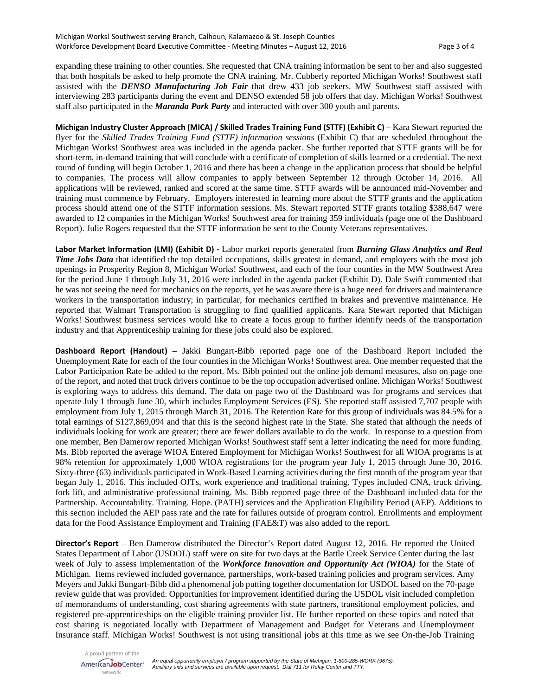expanding these training to other counties. She requested that CNA training information be sent to her and also suggested that both hospitals be asked to help promote the CNA training. Mr. Cubberly reported Michigan Works! Southwest staff assisted with the *DENSO Manufacturing Job Fair* that drew 433 job seekers. MW Southwest staff assisted with interviewing 283 participants during the event and DENSO extended 58 job offers that day. Michigan Works! Southwest staff also participated in the *Maranda Park Party* and interacted with over 300 youth and parents.

**Michigan Industry Cluster Approach (MICA) / Skilled Trades Training Fund (STTF) (Exhibit C)** – Kara Stewart reported the flyer for the *Skilled Trades Training Fund (STTF) information sessions* (Exhibit C) that are scheduled throughout the Michigan Works! Southwest area was included in the agenda packet. She further reported that STTF grants will be for short-term, in-demand training that will conclude with a certificate of completion of skills learned or a credential. The next round of funding will begin October 1, 2016 and there has been a change in the application process that should be helpful to companies. The process will allow companies to apply between September 12 through October 14, 2016. All applications will be reviewed, ranked and scored at the same time. STTF awards will be announced mid-November and training must commence by February. Employers interested in learning more about the STTF grants and the application process should attend one of the STTF information sessions. Ms. Stewart reported STTF grants totaling \$388,647 were awarded to 12 companies in the Michigan Works! Southwest area for training 359 individuals (page one of the Dashboard Report). Julie Rogers requested that the STTF information be sent to the County Veterans representatives.

**Labor Market Information (LMI) (Exhibit D) -** Labor market reports generated from *Burning Glass Analytics and Real Time Jobs Data* that identified the top detailed occupations, skills greatest in demand, and employers with the most job openings in Prosperity Region 8, Michigan Works! Southwest, and each of the four counties in the MW Southwest Area for the period June 1 through July 31, 2016 were included in the agenda packet (Exhibit D). Dale Swift commented that he was not seeing the need for mechanics on the reports, yet he was aware there is a huge need for drivers and maintenance workers in the transportation industry; in particular, for mechanics certified in brakes and preventive maintenance. He reported that Walmart Transportation is struggling to find qualified applicants. Kara Stewart reported that Michigan Works! Southwest business services would like to create a focus group to further identify needs of the transportation industry and that Apprenticeship training for these jobs could also be explored.

**Dashboard Report (Handout)** – Jakki Bungart-Bibb reported page one of the Dashboard Report included the Unemployment Rate for each of the four counties in the Michigan Works! Southwest area. One member requested that the Labor Participation Rate be added to the report. Ms. Bibb pointed out the online job demand measures, also on page one of the report, and noted that truck drivers continue to be the top occupation advertised online. Michigan Works! Southwest is exploring ways to address this demand. The data on page two of the Dashboard was for programs and services that operate July 1 through June 30, which includes Employment Services (ES). She reported staff assisted 7,707 people with employment from July 1, 2015 through March 31, 2016. The Retention Rate for this group of individuals was 84.5% for a total earnings of \$127,869,094 and that this is the second highest rate in the State. She stated that although the needs of individuals looking for work are greater; there are fewer dollars available to do the work. In response to a question from one member, Ben Damerow reported Michigan Works! Southwest staff sent a letter indicating the need for more funding. Ms. Bibb reported the average WIOA Entered Employment for Michigan Works! Southwest for all WIOA programs is at 98% retention for approximately 1,000 WIOA registrations for the program year July 1, 2015 through June 30, 2016. Sixty-three (63) individuals participated in Work-Based Learning activities during the first month of the program year that began July 1, 2016. This included OJTs, work experience and traditional training. Types included CNA, truck driving, fork lift, and administrative professional training. Ms. Bibb reported page three of the Dashboard included data for the Partnership. Accountability. Training. Hope. (PATH) services and the Application Eligibility Period (AEP). Additions to this section included the AEP pass rate and the rate for failures outside of program control. Enrollments and employment data for the Food Assistance Employment and Training (FAE&T) was also added to the report.

**Director's Report** – Ben Damerow distributed the Director's Report dated August 12, 2016. He reported the United States Department of Labor (USDOL) staff were on site for two days at the Battle Creek Service Center during the last week of July to assess implementation of the *Workforce Innovation and Opportunity Act (WIOA)* for the State of Michigan. Items reviewed included governance, partnerships, work-based training policies and program services. Amy Meyers and Jakki Bungart-Bibb did a phenomenal job putting together documentation for USDOL based on the 70-page review guide that was provided. Opportunities for improvement identified during the USDOL visit included completion of memorandums of understanding, cost sharing agreements with state partners, transitional employment policies, and registered pre-apprenticeships on the eligible training provider list. He further reported on these topics and noted that cost sharing is negotiated locally with Department of Management and Budget for Veterans and Unemployment Insurance staff. Michigan Works! Southwest is not using transitional jobs at this time as we see On-the-Job Training